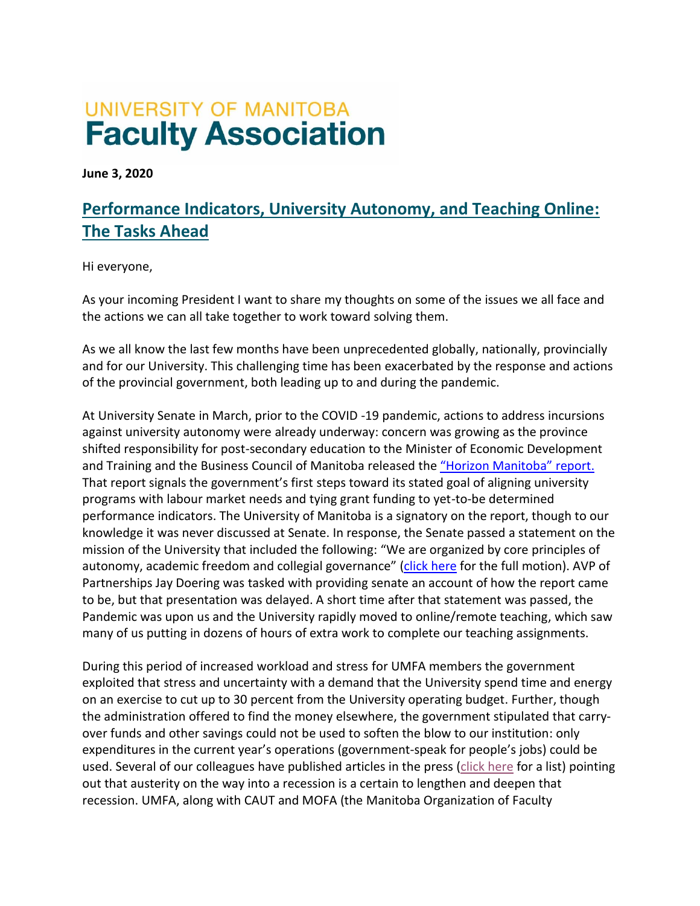# **UNIVERSITY OF MANITOBA Faculty Association**

**June 3, 2020**

# **Performance Indicators, University Autonomy, and Teaching Online: The Tasks Ahead**

Hi everyone,

As your incoming President I want to share my thoughts on some of the issues we all face and the actions we can all take together to work toward solving them.

As we all know the last few months have been unprecedented globally, nationally, provincially and for our University. This challenging time has been exacerbated by the response and actions of the provincial government, both leading up to and during the pandemic.

At University Senate in March, prior to the COVID -19 pandemic, actions to address incursions against university autonomy were already underway: concern was growing as the province shifted responsibility for post-secondary education to the Minister of Economic Development and Training and the Business Council of Manitoba released the "Horizon [Manitoba"](http://businesscouncil.mb.ca/archives/insight_publication/horizon-manitoba) report. That report signals the government's first steps toward its stated goal of aligning university programs with labour market needs and tying grant funding to yet-to-be determined performance indicators. The University of Manitoba is a signatory on the report, though to our knowledge it was never discussed at Senate. In response, the Senate passed a statement on the mission of the University that included the following: "We are organized by core principles of autonomy, academic freedom and collegial governance" [\(click here](http://www.umanitoba.ca/admin/governance/senate/motions/senate_motions_march_4_2020.html) for the full motion). AVP of Partnerships Jay Doering was tasked with providing senate an account of how the report came to be, but that presentation was delayed. A short time after that statement was passed, the Pandemic was upon us and the University rapidly moved to online/remote teaching, which saw many of us putting in dozens of hours of extra work to complete our teaching assignments.

During this period of increased workload and stress for UMFA members the government exploited that stress and uncertainty with a demand that the University spend time and energy on an exercise to cut up to 30 percent from the University operating budget. Further, though the administration offered to find the money elsewhere, the government stipulated that carryover funds and other savings could not be used to soften the blow to our institution: only expenditures in the current year's operations (government-speak for people's jobs) could be used. Several of our colleagues have published articles in the press [\(click here](https://publicsector.caut.ca/news) for a list) pointing out that austerity on the way into a recession is a certain to lengthen and deepen that recession. UMFA, along with CAUT and MOFA (the Manitoba Organization of Faculty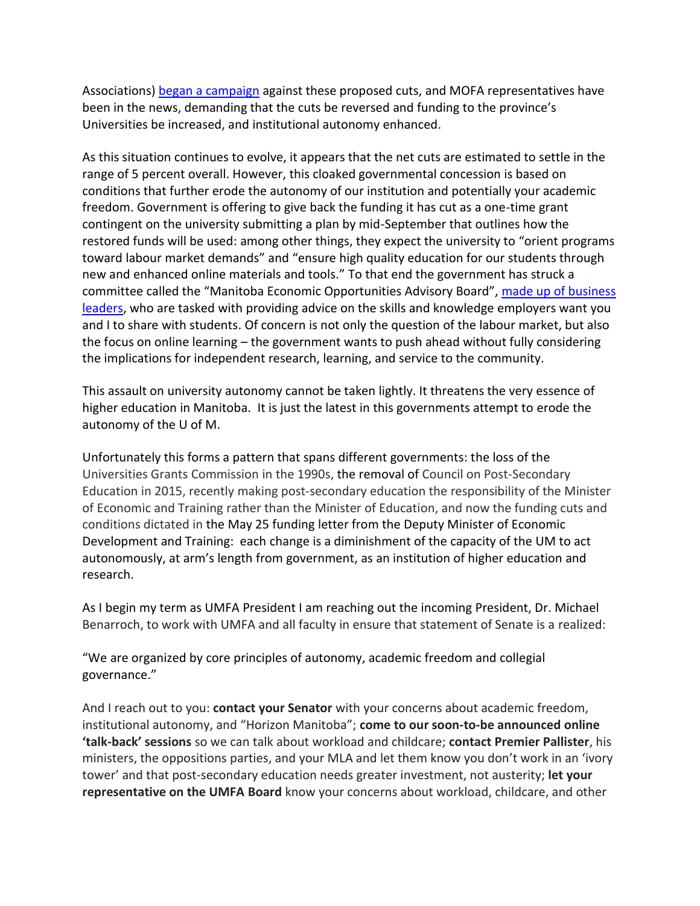Associations[\) began a campaign](https://publicsector.caut.ca/pledge) against these proposed cuts, and MOFA representatives have been in the news, demanding that the cuts be reversed and funding to the province's Universities be increased, and institutional autonomy enhanced.

As this situation continues to evolve, it appears that the net cuts are estimated to settle in the range of 5 percent overall. However, this cloaked governmental concession is based on conditions that further erode the autonomy of our institution and potentially your academic freedom. Government is offering to give back the funding it has cut as a one-time grant contingent on the university submitting a plan by mid-September that outlines how the restored funds will be used: among other things, they expect the university to "orient programs toward labour market demands" and "ensure high quality education for our students through new and enhanced online materials and tools." To that end the government has struck a committee called the "Manitoba Economic Opportunities Advisory Board", [made up of business](https://news.gov.mb.ca/asset_library/en/newslinks/2020/05/BG-PEAC_Bios_2-PR.pdf)  [leaders,](https://news.gov.mb.ca/asset_library/en/newslinks/2020/05/BG-PEAC_Bios_2-PR.pdf) who are tasked with providing advice on the skills and knowledge employers want you and I to share with students. Of concern is not only the question of the labour market, but also the focus on online learning – the government wants to push ahead without fully considering the implications for independent research, learning, and service to the community.

This assault on university autonomy cannot be taken lightly. It threatens the very essence of higher education in Manitoba. It is just the latest in this governments attempt to erode the autonomy of the U of M.

Unfortunately this forms a pattern that spans different governments: the loss of the Universities Grants Commission in the 1990s, the removal of Council on Post-Secondary Education in 2015, recently making post-secondary education the responsibility of the Minister of Economic and Training rather than the Minister of Education, and now the funding cuts and conditions dictated in the May 25 funding letter from the Deputy Minister of Economic Development and Training: each change is a diminishment of the capacity of the UM to act autonomously, at arm's length from government, as an institution of higher education and research.

As I begin my term as UMFA President I am reaching out the incoming President, Dr. Michael Benarroch, to work with UMFA and all faculty in ensure that statement of Senate is a realized:

"We are organized by core principles of autonomy, academic freedom and collegial governance."

And I reach out to you: **contact your Senator** with your concerns about academic freedom, institutional autonomy, and "Horizon Manitoba"; **come to our soon-to-be announced online 'talk-back' sessions** so we can talk about workload and childcare; **contact Premier Pallister**, his ministers, the oppositions parties, and your MLA and let them know you don't work in an 'ivory tower' and that post-secondary education needs greater investment, not austerity; **let your representative on the UMFA Board** know your concerns about workload, childcare, and other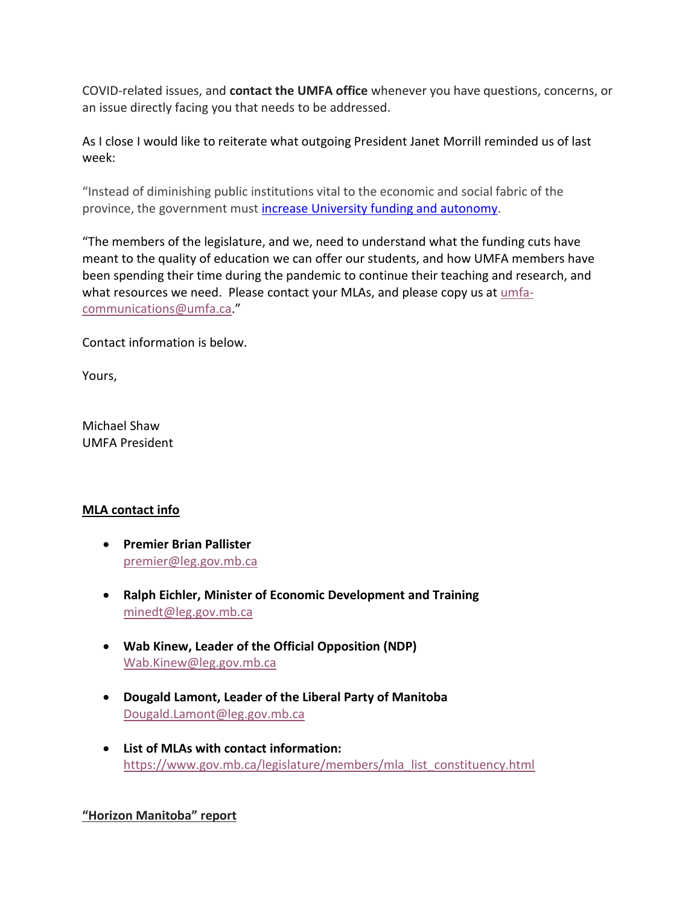COVID-related issues, and **contact the UMFA office** whenever you have questions, concerns, or an issue directly facing you that needs to be addressed.

As I close I would like to reiterate what outgoing President Janet Morrill reminded us of last week:

"Instead of diminishing public institutions vital to the economic and social fabric of the province, the government must [increase University funding and autonomy.](http://mofa-fapum.mb.ca/issues/mofa-demands-accountability-investment-in-pse/)

"The members of the legislature, and we, need to understand what the funding cuts have meant to the quality of education we can offer our students, and how UMFA members have been spending their time during the pandemic to continue their teaching and research, and what resources we need. Please contact your MLAs, and please copy us at [umfa](mailto:umfa-communications@umfa.ca)[communications@umfa.ca.](mailto:umfa-communications@umfa.ca)"

Contact information is below.

Yours,

Michael Shaw UMFA President

#### **MLA contact info**

- **Premier Brian Pallister** [premier@leg.gov.mb.ca](mailto:premier@leg.gov.mb.ca)
- **Ralph Eichler, Minister of Economic Development and Training** [minedt@leg.gov.mb.ca](mailto:minedt@leg.gov.mb.ca)
- **Wab Kinew, Leader of the Official Opposition (NDP)** [Wab.Kinew@leg.gov.mb.ca](mailto:Wab.Kinew@leg.gov.mb.ca)
- **Dougald Lamont, Leader of the Liberal Party of Manitoba** [Dougald.Lamont@leg.gov.mb.ca](mailto:Dougald.Lamont@leg.gov.mb.ca)
- **List of MLAs with contact information:** [https://www.gov.mb.ca/legislature/members/mla\\_list\\_constituency.html](https://www.gov.mb.ca/legislature/members/mla_list_constituency.html)

## **"Horizon Manitoba" report**